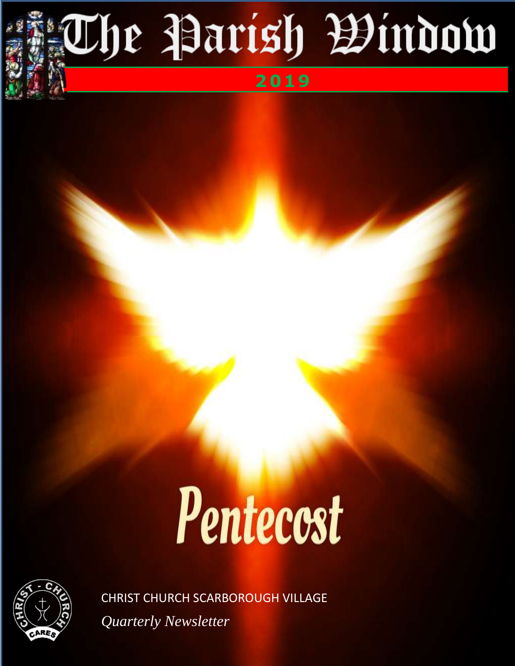# **The Parish Bindow**

## **2019**

## Pentecost



CHRIST CHURCH SCARBOROUGH VILLAGE *Quarterly Newsletter*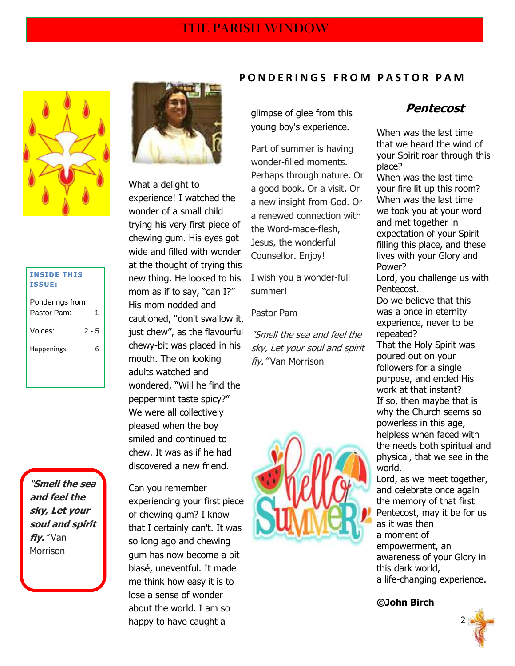

| <b>INSIDE THIS</b> |  |
|--------------------|--|
| <b>ISSUE:</b>      |  |

| Ponderings from |         |
|-----------------|---------|
| Pastor Pam:     | 1       |
|                 |         |
| Voices:         | $2 - 5$ |
|                 |         |
| Happenings      | հ       |
|                 |         |
|                 |         |

"**Smell the sea and feel the sky, Let your soul and spirit fly.**" Van Morrison



What a delight to experience! I watched the wonder of a small child trying his very first piece of chewing gum. His eyes got wide and filled with wonder at the thought of trying this new thing. He looked to his mom as if to say, "can I?" His mom nodded and cautioned, "don't swallow it, just chew", as the flavourful chewy-bit was placed in his mouth. The on looking adults watched and wondered, "Will he find the peppermint taste spicy?" We were all collectively pleased when the boy smiled and continued to chew. It was as if he had discovered a new friend.

 2 happy to have caught a Can you remember experiencing your first piece of chewing gum? I know that I certainly can't. It was so long ago and chewing gum has now become a bit blasé, uneventful. It made me think how easy it is to lose a sense of wonder about the world. I am so

#### **P O N D E R I N G S F R O M P A S T O R P A M**

glimpse of glee from this young boy's experience.

Part of summer is having wonder-filled moments. Perhaps through nature. Or a good book. Or a visit. Or a new insight from God. Or a renewed connection with the Word-made-flesh, Jesus, the wonderful Counsellor. Enjoy!

I wish you a wonder-full summer!

Pastor Pam

"Smell the sea and feel the sky, Let your soul and spirit fly." Van Morrison



### **Pentecost**

When was the last time that we heard the wind of your Spirit roar through this place? When was the last time your fire lit up this room? When was the last time we took you at your word and met together in expectation of your Spirit filling this place, and these lives with your Glory and Power? Lord, you challenge us with Pentecost. Do we believe that this was a once in eternity experience, never to be repeated? That the Holy Spirit was poured out on your followers for a single purpose, and ended His work at that instant? If so, then maybe that is why the Church seems so powerless in this age, helpless when faced with the needs both spiritual and physical, that we see in the world. Lord, as we meet together, and celebrate once again the memory of that first

Pentecost, may it be for us as it was then a moment of empowerment, an awareness of your Glory in this dark world, a life-changing experience.

**©John Birch**

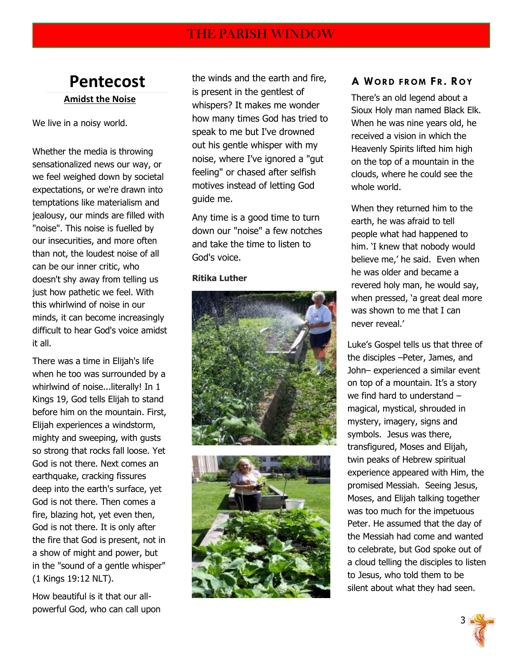## **Pentecost Amidst the Noise**

We live in a noisy world.

Whether the media is throwing sensationalized news our way, or we feel weighed down by societal expectations, or we're drawn into temptations like materialism and jealousy, our minds are filled with "noise". This noise is fuelled by our insecurities, and more often than not, the loudest noise of all can be our inner critic, who doesn't shy away from telling us just how pathetic we feel. With this whirlwind of noise in our minds, it can become increasingly difficult to hear God's voice amidst it all.

There was a time in Elijah's life when he too was surrounded by a whirlwind of noise...literally! In 1 Kings 19, God tells Elijah to stand before him on the mountain. First, Elijah experiences a windstorm, mighty and sweeping, with gusts so strong that rocks fall loose. Yet God is not there. Next comes an earthquake, cracking fissures deep into the earth's surface, yet God is not there. Then comes a fire, blazing hot, yet even then, God is not there. It is only after the fire that God is present, not in a show of might and power, but in the "sound of a gentle whisper" (1 Kings 19:12 NLT).

How beautiful is it that our allpowerful God, who can call upon the winds and the earth and fire, is present in the gentlest of whispers? It makes me wonder how many times God has tried to speak to me but I've drowned out his gentle whisper with my noise, where I've ignored a "gut feeling" or chased after selfish motives instead of letting God guide me.

Any time is a good time to turn down our "noise" a few notches and take the time to listen to God's voice.

#### **Ritika Luther**





#### **A WORD FROM FR. ROY**

There's an old legend about a Sioux Holy man named Black Elk. When he was nine years old, he received a vision in which the Heavenly Spirits lifted him high on the top of a mountain in the clouds, where he could see the whole world.

When they returned him to the earth, he was afraid to tell people what had happened to him. "I knew that nobody would believe me,' he said. Even when he was older and became a revered holy man, he would say, when pressed, 'a great deal more was shown to me that I can never reveal."

Luke"s Gospel tells us that three of the disciples –Peter, James, and John– experienced a similar event on top of a mountain. It"s a story we find hard to understand – magical, mystical, shrouded in mystery, imagery, signs and symbols. Jesus was there, transfigured, Moses and Elijah, twin peaks of Hebrew spiritual experience appeared with Him, the promised Messiah. Seeing Jesus, Moses, and Elijah talking together was too much for the impetuous Peter. He assumed that the day of the Messiah had come and wanted to celebrate, but God spoke out of a cloud telling the disciples to listen to Jesus, who told them to be silent about what they had seen.

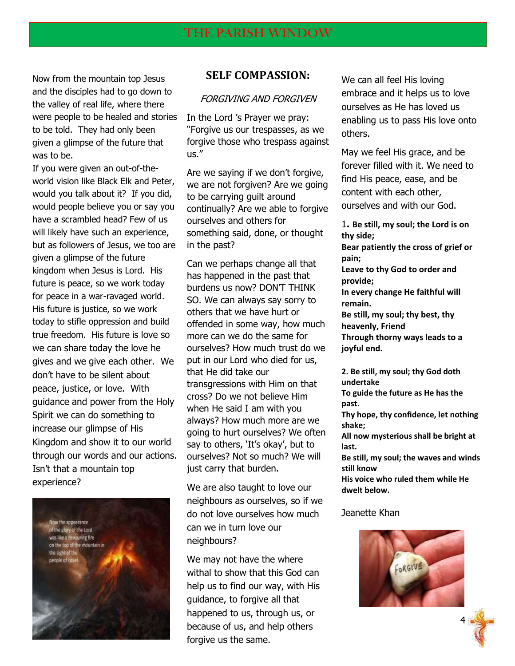Now from the mountain top Jesus and the disciples had to go down to the valley of real life, where there were people to be healed and stories to be told. They had only been given a glimpse of the future that was to be.

If you were given an out-of-theworld vision like Black Elk and Peter, would you talk about it? If you did, would people believe you or say you have a scrambled head? Few of us will likely have such an experience, but as followers of Jesus, we too are given a glimpse of the future kingdom when Jesus is Lord. His future is peace, so we work today for peace in a war-ravaged world. His future is justice, so we work today to stifle oppression and build true freedom. His future is love so we can share today the love he gives and we give each other. We don"t have to be silent about peace, justice, or love. With guidance and power from the Holy Spirit we can do something to increase our glimpse of His Kingdom and show it to our world through our words and our actions. Isn"t that a mountain top experience?



#### **SELF COMPASSION:**

#### FORGIVING AND FORGIVEN

In the Lord "s Prayer we pray: "Forgive us our trespasses, as we forgive those who trespass against us."

Are we saying if we don"t forgive, we are not forgiven? Are we going to be carrying guilt around continually? Are we able to forgive ourselves and others for something said, done, or thought in the past?

Can we perhaps change all that has happened in the past that burdens us now? DON'T THINK SO. We can always say sorry to others that we have hurt or offended in some way, how much more can we do the same for ourselves? How much trust do we put in our Lord who died for us, that He did take our transgressions with Him on that cross? Do we not believe Him when He said I am with you always? How much more are we going to hurt ourselves? We often say to others, 'It's okay', but to ourselves? Not so much? We will just carry that burden.

We are also taught to love our neighbours as ourselves, so if we do not love ourselves how much can we in turn love our neighbours?

example of the contract of the contract of the contract of the contract of the contract of the contract of the contract of the contract of the contract of the contract of the contract of the contract of the contract of the We may not have the where withal to show that this God can help us to find our way, with His guidance, to forgive all that happened to us, through us, or forgive us the same.

We can all feel His loving embrace and it helps us to love ourselves as He has loved us enabling us to pass His love onto others.

May we feel His grace, and be forever filled with it. We need to find His peace, ease, and be content with each other, ourselves and with our God.

1**. Be still, my soul; the Lord is on thy side; Bear patiently the cross of grief or pain; Leave to thy God to order and provide; In every change He faithful will remain. Be still, my soul; thy best, thy heavenly, Friend Through thorny ways leads to a joyful end.**

**2. Be still, my soul; thy God doth undertake**

**To guide the future as He has the past.**

**Thy hope, thy confidence, let nothing shake;**

**All now mysterious shall be bright at last.**

**Be still, my soul; the waves and winds still know**

**His voice who ruled them while He dwelt below.**

#### Jeanette Khan

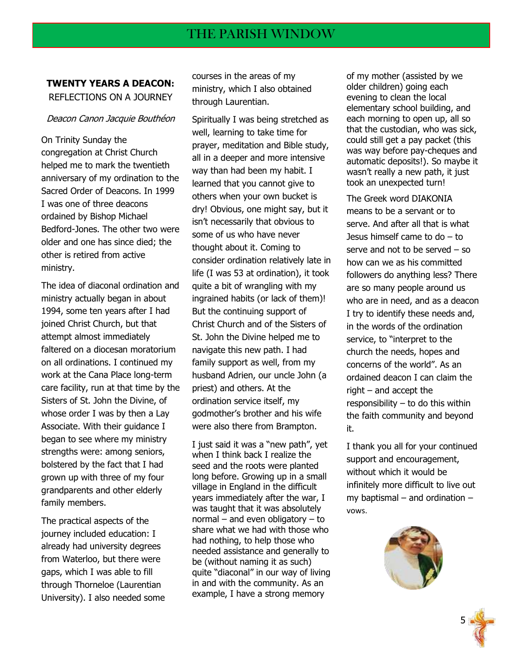#### **TWENTY YEARS A DEACON:** REFLECTIONS ON A JOURNEY

#### Deacon Canon Jacquie Bouthéon

On Trinity Sunday the congregation at Christ Church helped me to mark the twentieth anniversary of my ordination to the Sacred Order of Deacons. In 1999 I was one of three deacons ordained by Bishop Michael Bedford-Jones. The other two were older and one has since died; the other is retired from active ministry.

The idea of diaconal ordination and ministry actually began in about 1994, some ten years after I had joined Christ Church, but that attempt almost immediately faltered on a diocesan moratorium on all ordinations. I continued my work at the Cana Place long-term care facility, run at that time by the Sisters of St. John the Divine, of whose order I was by then a Lay Associate. With their guidance I began to see where my ministry strengths were: among seniors, bolstered by the fact that I had grown up with three of my four grandparents and other elderly family members.

The practical aspects of the journey included education: I already had university degrees from Waterloo, but there were gaps, which I was able to fill through Thorneloe (Laurentian University). I also needed some courses in the areas of my ministry, which I also obtained through Laurentian.

Spiritually I was being stretched as well, learning to take time for prayer, meditation and Bible study, all in a deeper and more intensive way than had been my habit. I learned that you cannot give to others when your own bucket is dry! Obvious, one might say, but it isn"t necessarily that obvious to some of us who have never thought about it. Coming to consider ordination relatively late in life (I was 53 at ordination), it took quite a bit of wrangling with my ingrained habits (or lack of them)! But the continuing support of Christ Church and of the Sisters of St. John the Divine helped me to navigate this new path. I had family support as well, from my husband Adrien, our uncle John (a priest) and others. At the ordination service itself, my godmother"s brother and his wife were also there from Brampton.

I just said it was a "new path", yet when I think back I realize the seed and the roots were planted long before. Growing up in a small village in England in the difficult years immediately after the war, I was taught that it was absolutely normal – and even obligatory – to share what we had with those who had nothing, to help those who needed assistance and generally to be (without naming it as such) quite "diaconal" in our way of living in and with the community. As an example, I have a strong memory

the state of the contract of the contract of the contract of the contract of the contract of the contract of t

of my mother (assisted by we older children) going each evening to clean the local elementary school building, and each morning to open up, all so that the custodian, who was sick, could still get a pay packet (this was way before pay-cheques and automatic deposits!). So maybe it wasn"t really a new path, it just took an unexpected turn!

The Greek word DIAKONIA means to be a servant or to serve. And after all that is what Jesus himself came to do – to serve and not to be served – so how can we as his committed followers do anything less? There are so many people around us who are in need, and as a deacon I try to identify these needs and, in the words of the ordination service, to "interpret to the church the needs, hopes and concerns of the world". As an ordained deacon I can claim the right – and accept the responsibility – to do this within the faith community and beyond it.

I thank you all for your continued support and encouragement, without which it would be infinitely more difficult to live out my baptismal – and ordination – vows.

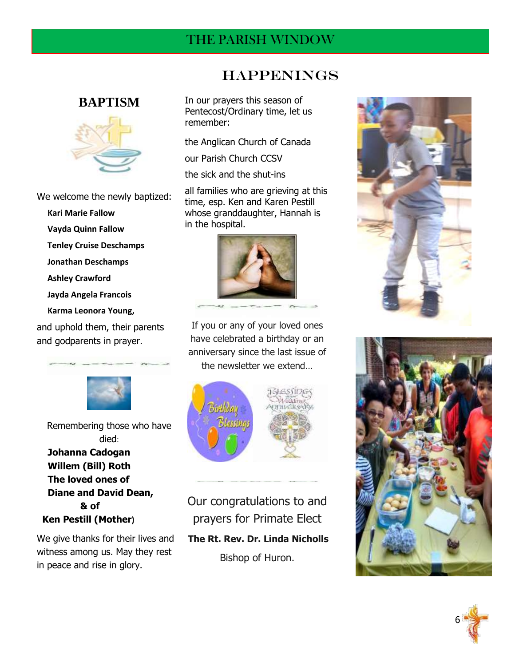## THE PARISH WINDOW

### **BAPTISM**



We welcome the newly baptized:

- **Kari Marie Fallow**
- **Vayda Quinn Fallow**
- **Tenley Cruise Deschamps**
- **Jonathan Deschamps**
- **Ashley Crawford**
- **Jayda Angela Francois**
- **Karma Leonora Young,**

and uphold them, their parents and godparents in prayer.



Remembering those who have died:  **Johanna Cadogan Willem (Bill) Roth The loved ones of Diane and David Dean, & of Ken Pestill (Mother)** 

We give thanks for their lives and witness among us. May they rest in peace and rise in glory.

## Happenings

In our prayers this season of Pentecost/Ordinary time, let us remember:

the Anglican Church of Canada

our Parish Church CCSV

the sick and the shut-ins

all families who are grieving at this time, esp. Ken and Karen Pestill whose granddaughter, Hannah is in the hospital.



If you or any of your loved ones have celebrated a birthday or an anniversary since the last issue of the newsletter we extend…



Our congratulations to and prayers for Primate Elect **The Rt. Rev. Dr. Linda Nicholls** Bishop of Huron.





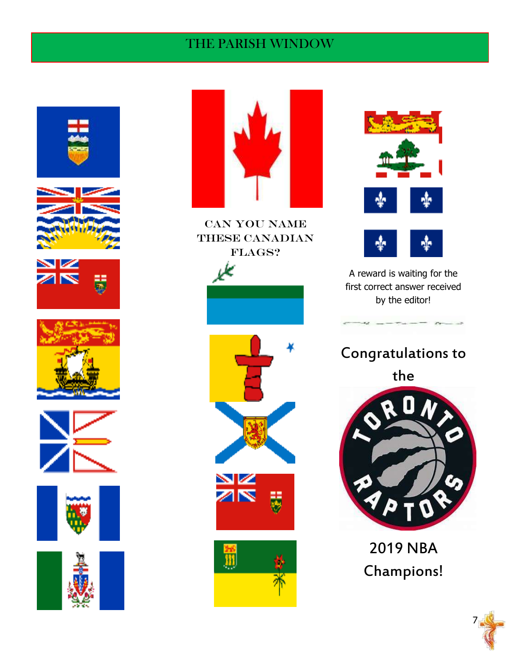## THE PARISH WINDOW

























A reward is waiting for the first correct answer received by the editor!

Congratulations to

the



2019 NBA Champions!